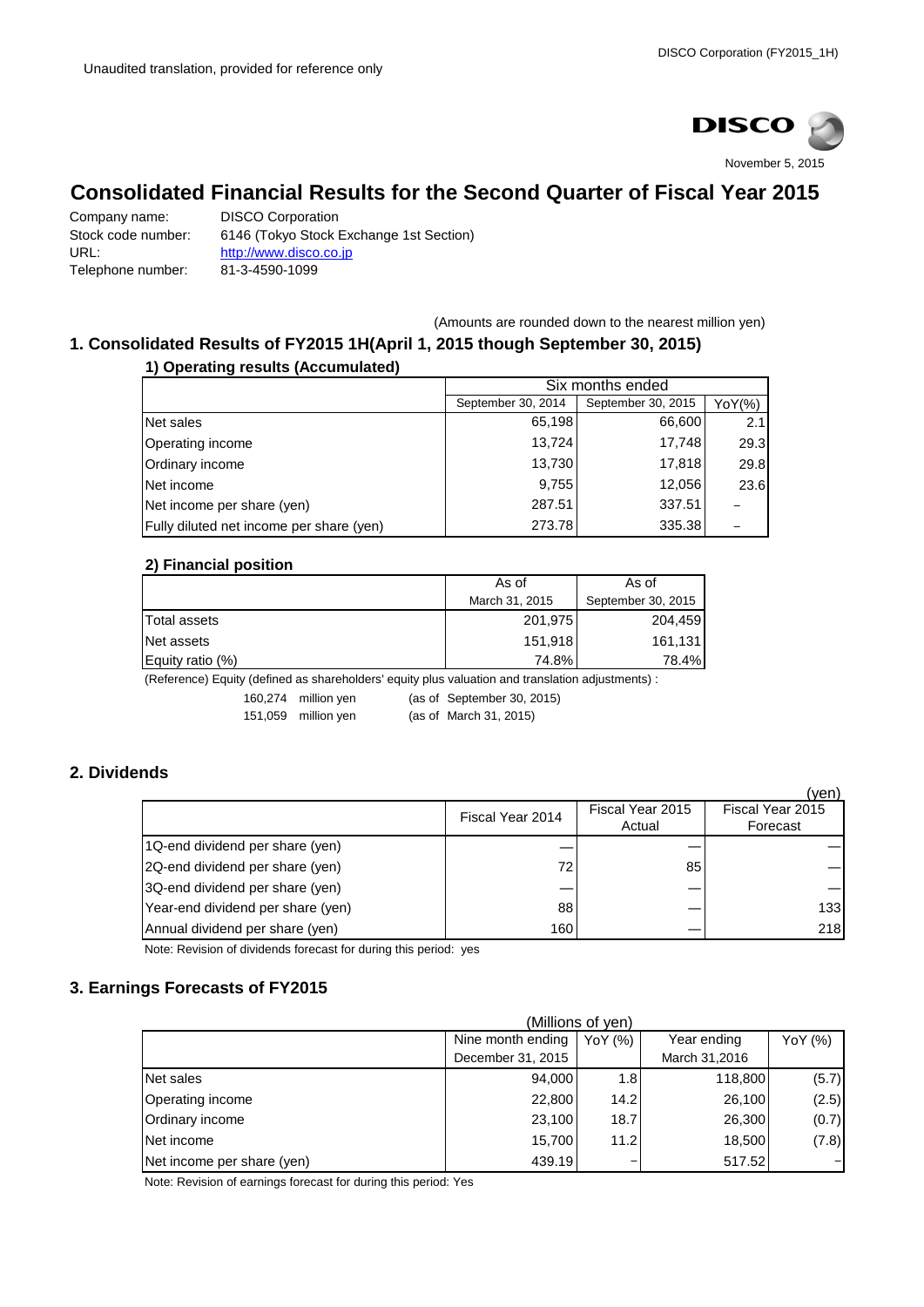

# **Consolidated Financial Results for the Second Quarter of Fiscal Year 2015**

Company name: DISCO Corporation Stock code number: 6146 (Tokyo Stock Exchange 1st Section) URL: [http://www.disco.co.jp](http://www.disco.co.jp/) Telephone number: 81-3-4590-1099

(Amounts are rounded down to the nearest million yen)

#### **1. Consolidated Results of FY2015 1H(April 1, 2015 though September 30, 2015) 1) Operating results (Accumulated)**

| i Operating results (Accumulated)        |                    |                    |                          |  |  |
|------------------------------------------|--------------------|--------------------|--------------------------|--|--|
|                                          |                    | Six months ended   |                          |  |  |
|                                          | September 30, 2014 | September 30, 2015 | YoY(%)                   |  |  |
| Net sales                                | 65.198             | 66,600             | 2.1                      |  |  |
| Operating income                         | 13.724             | 17,748             | 29.3                     |  |  |
| Ordinary income                          | 13,730             | 17,818             | 29.8                     |  |  |
| Net income                               | 9.755              | 12,056             | 23.6                     |  |  |
| Net income per share (yen)               | 287.51             | 337.51             |                          |  |  |
| Fully diluted net income per share (yen) | 273.78             | 335.38             | $\overline{\phantom{0}}$ |  |  |

## **2) Financial position**

|                  | As of          | As of              |  |
|------------------|----------------|--------------------|--|
|                  | March 31, 2015 | September 30, 2015 |  |
| Total assets     | 201,975        | 204.459            |  |
| Net assets       | 151.918        | 161.131            |  |
| Equity ratio (%) | 74.8%          | 78.4%              |  |

(Reference) Equity (defined as shareholders' equity plus valuation and translation adjustments) :

160,274 million yen (as of September 30, 2015)

151,059 million yen (as of March 31, 2015)

# **2. Dividends**

|                                   |                  |                  | (ven)            |
|-----------------------------------|------------------|------------------|------------------|
|                                   | Fiscal Year 2014 | Fiscal Year 2015 | Fiscal Year 2015 |
|                                   |                  | Actual           | Forecast         |
| 1Q-end dividend per share (yen)   |                  |                  |                  |
| 2Q-end dividend per share (yen)   | 72               | 85               |                  |
| 3Q-end dividend per share (yen)   |                  |                  |                  |
| Year-end dividend per share (yen) | 88               |                  | 133              |
| Annual dividend per share (yen)   | 160              |                  | 218              |

Note: Revision of dividends forecast for during this period: yes

# **3. Earnings Forecasts of FY2015**

| (Millions of yen)          |                   |         |               |         |
|----------------------------|-------------------|---------|---------------|---------|
|                            | Nine month ending | YoY (%) | Year ending   | YoY (%) |
|                            | December 31, 2015 |         | March 31,2016 |         |
| Net sales                  | 94,000            | 1.8     | 118,800       | (5.7)   |
| Operating income           | 22,800            | 14.2    | 26,100        | (2.5)   |
| Ordinary income            | 23,100            | 18.7    | 26,300        | (0.7)   |
| Net income                 | 15,700            | 11.2    | 18,500        | (7.8)   |
| Net income per share (yen) | 439.19            | -       | 517.52        |         |

Note: Revision of earnings forecast for during this period: Yes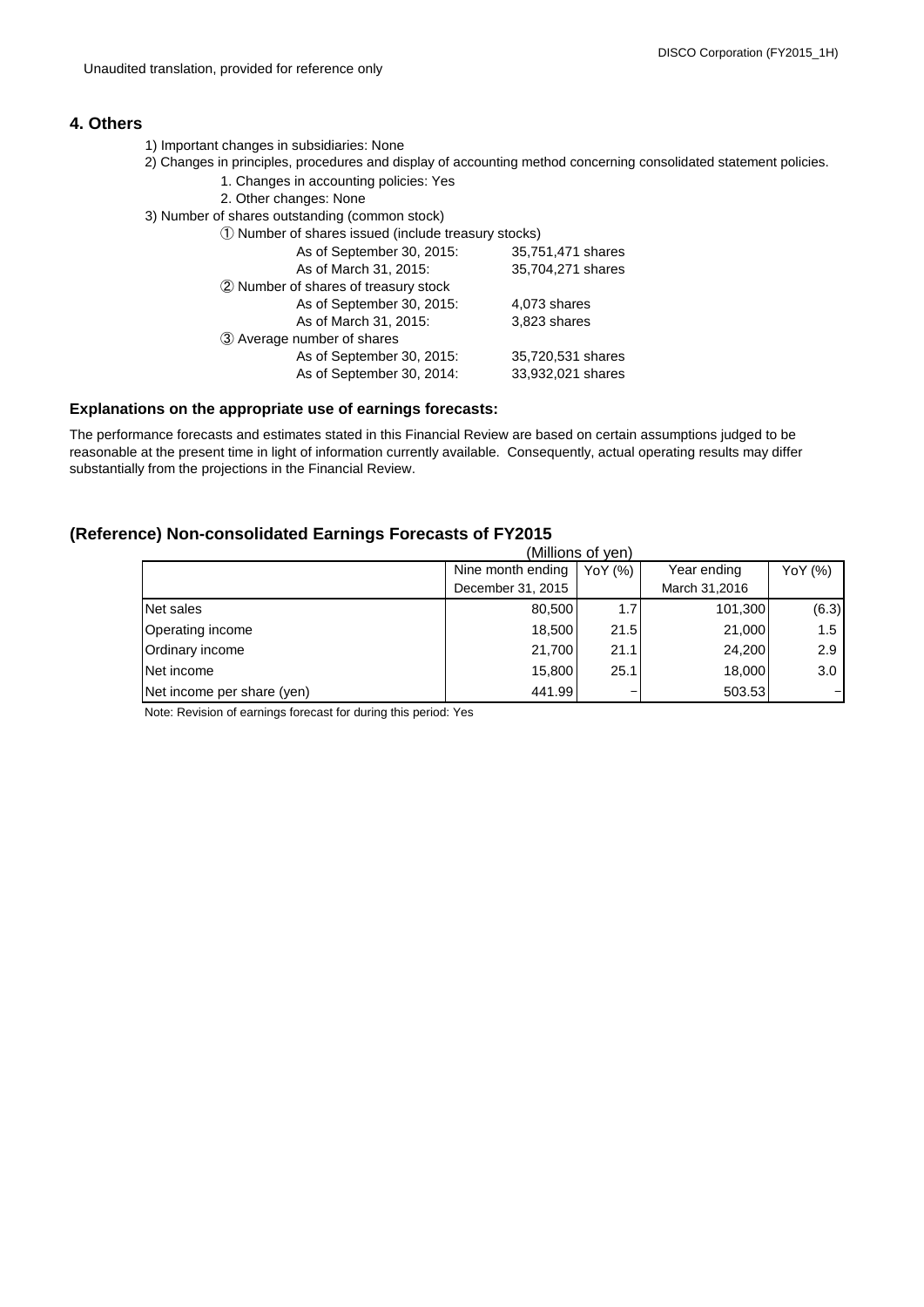## **4. Others**

- 1) Important changes in subsidiaries: None
- 2) Changes in principles, procedures and display of accounting method concerning consolidated statement policies.
	- 1. Changes in accounting policies: Yes
	- 2. Other changes: None
- 3) Number of shares outstanding (common stock)

| or or anarca outstanding (common atook)              |                   |
|------------------------------------------------------|-------------------|
| 1) Number of shares issued (include treasury stocks) |                   |
| As of September 30, 2015:                            | 35,751,471 shares |
| As of March 31, 2015:                                | 35,704,271 shares |
| 2 Number of shares of treasury stock                 |                   |
| As of September 30, 2015:                            | 4,073 shares      |
| As of March 31, 2015:                                | 3,823 shares      |
| 3 Average number of shares                           |                   |
| As of September 30, 2015:                            | 35,720,531 shares |
| As of September 30, 2014:                            | 33,932,021 shares |
|                                                      |                   |

#### **Explanations on the appropriate use of earnings forecasts:**

The performance forecasts and estimates stated in this Financial Review are based on certain assumptions judged to be reasonable at the present time in light of information currently available. Consequently, actual operating results may differ substantially from the projections in the Financial Review.

## **(Reference) Non-consolidated Earnings Forecasts of FY2015**

| (Millions of yen)          |                   |         |               |                   |
|----------------------------|-------------------|---------|---------------|-------------------|
|                            | Nine month ending | YoY (%) | Year ending   | YoY (%)           |
|                            | December 31, 2015 |         | March 31,2016 |                   |
| Net sales                  | 80,500            | 1.7     | 101,300       | (6.3)             |
| Operating income           | 18,500            | 21.5    | 21,000        | 1.5               |
| Ordinary income            | 21,700            | 21.1    | 24,200        | 2.9               |
| Net income                 | 15,800            | 25.1    | 18,000        | 3.0 <sub>1</sub>  |
| Net income per share (yen) | 441.99            | -       | 503.53        | $\qquad \qquad -$ |

Note: Revision of earnings forecast for during this period: Yes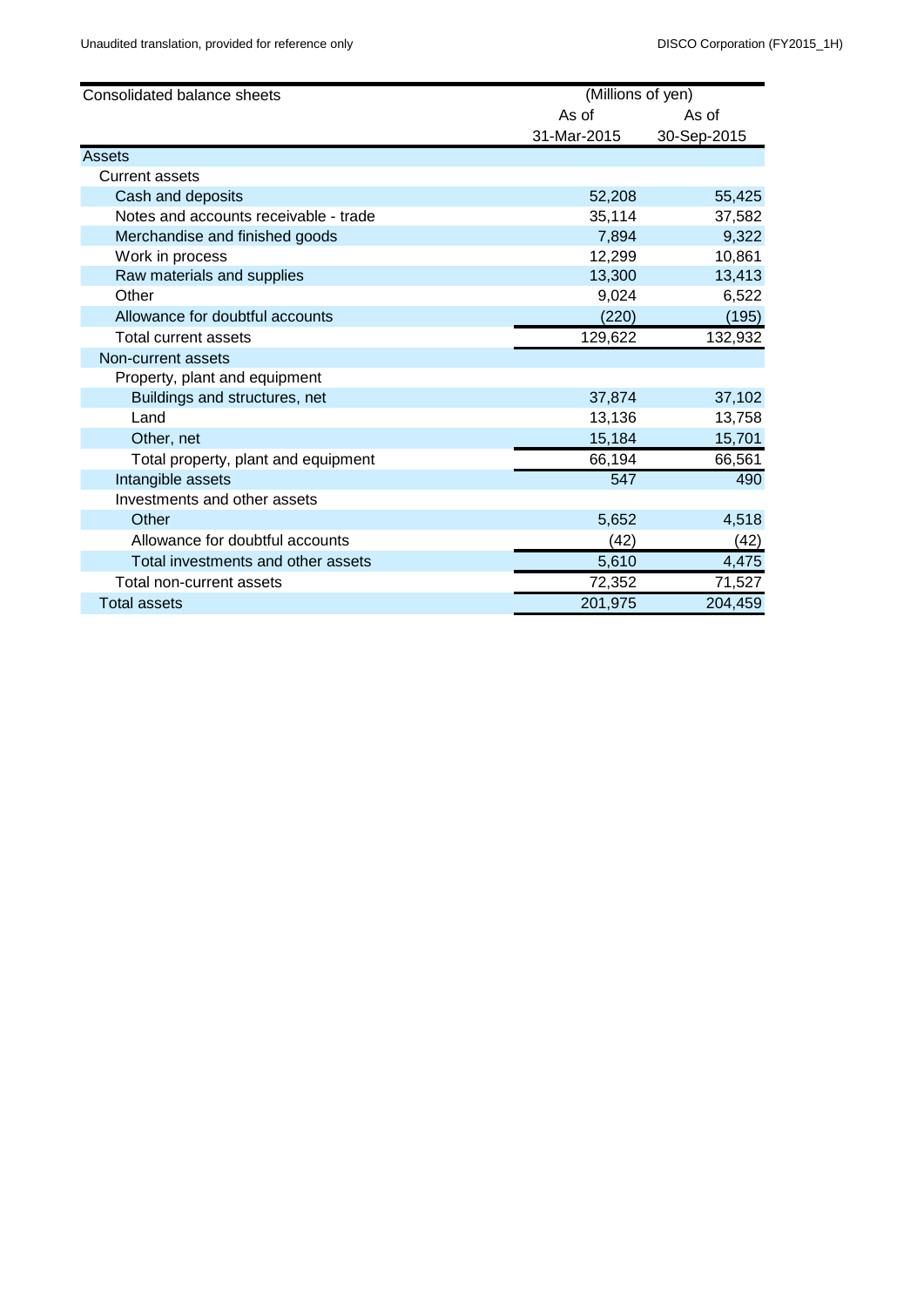| Consolidated balance sheets           | (Millions of yen) |             |
|---------------------------------------|-------------------|-------------|
|                                       | As of             | As of       |
|                                       | 31-Mar-2015       | 30-Sep-2015 |
| Assets                                |                   |             |
| <b>Current assets</b>                 |                   |             |
| Cash and deposits                     | 52,208            | 55,425      |
| Notes and accounts receivable - trade | 35,114            | 37,582      |
| Merchandise and finished goods        | 7,894             | 9,322       |
| Work in process                       | 12,299            | 10,861      |
| Raw materials and supplies            | 13,300            | 13,413      |
| Other                                 | 9,024             | 6,522       |
| Allowance for doubtful accounts       | (220)             | (195)       |
| <b>Total current assets</b>           | 129,622           | 132,932     |
| Non-current assets                    |                   |             |
| Property, plant and equipment         |                   |             |
| Buildings and structures, net         | 37,874            | 37,102      |
| Land                                  | 13,136            | 13,758      |
| Other, net                            | 15,184            | 15,701      |
| Total property, plant and equipment   | 66,194            | 66,561      |
| Intangible assets                     | 547               | 490         |
| Investments and other assets          |                   |             |
| Other                                 | 5,652             | 4,518       |
| Allowance for doubtful accounts       | (42)              | (42)        |
| Total investments and other assets    | 5,610             | 4,475       |
| Total non-current assets              | 72,352            | 71,527      |
| <b>Total assets</b>                   | 201,975           | 204,459     |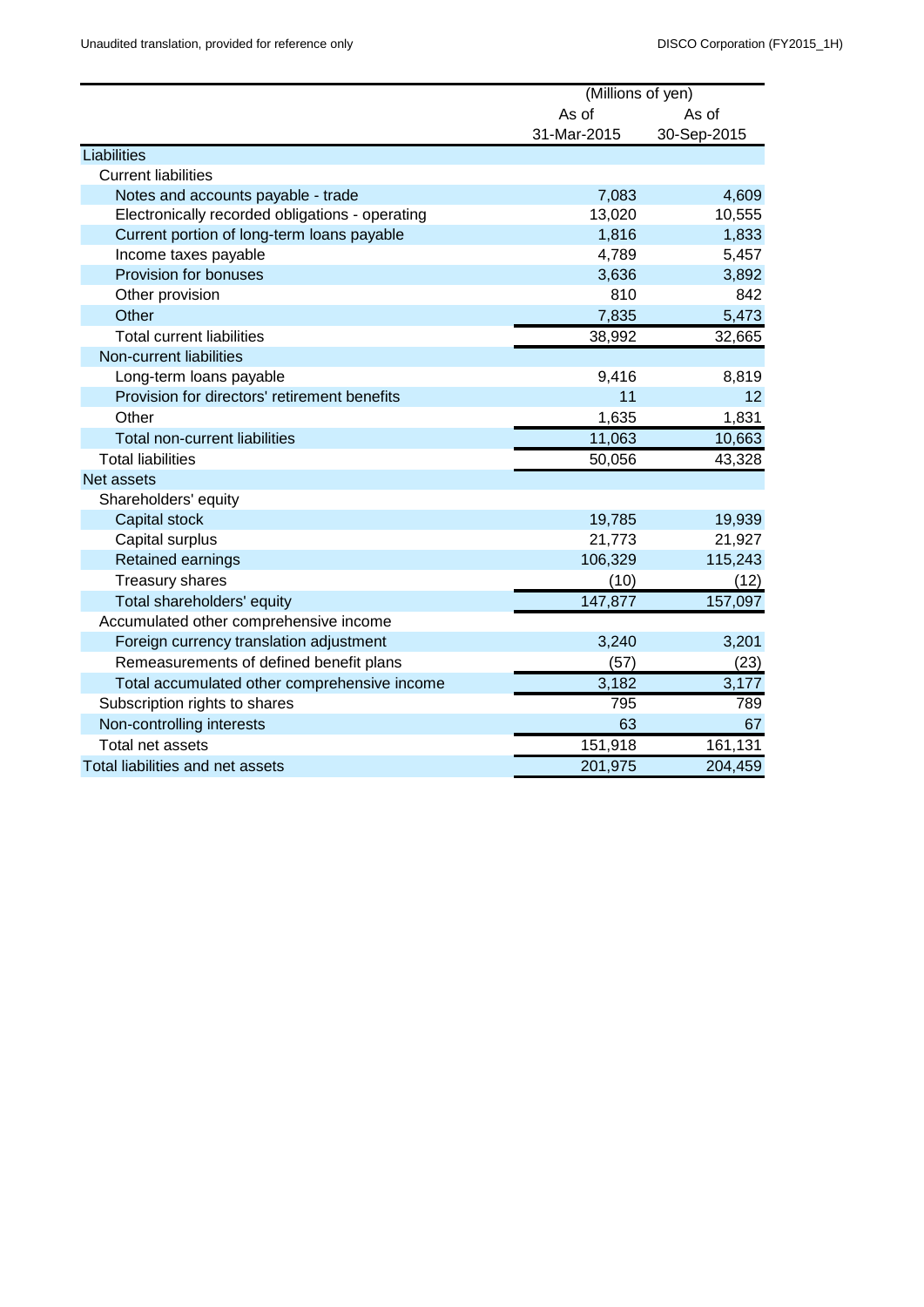|                                                 | (Millions of yen) |             |  |
|-------------------------------------------------|-------------------|-------------|--|
|                                                 | As of<br>As of    |             |  |
|                                                 | 31-Mar-2015       | 30-Sep-2015 |  |
| Liabilities                                     |                   |             |  |
| <b>Current liabilities</b>                      |                   |             |  |
| Notes and accounts payable - trade              | 7,083             | 4,609       |  |
| Electronically recorded obligations - operating | 13,020            | 10,555      |  |
| Current portion of long-term loans payable      | 1,816             | 1,833       |  |
| Income taxes payable                            | 4,789             | 5,457       |  |
| Provision for bonuses                           | 3,636             | 3,892       |  |
| Other provision                                 | 810               | 842         |  |
| Other                                           | 7,835             | 5,473       |  |
| <b>Total current liabilities</b>                | 38,992            | 32,665      |  |
| Non-current liabilities                         |                   |             |  |
| Long-term loans payable                         | 9,416             | 8,819       |  |
| Provision for directors' retirement benefits    | 11                | 12          |  |
| Other                                           | 1,635             | 1,831       |  |
| Total non-current liabilities                   | 11,063            | 10,663      |  |
| <b>Total liabilities</b>                        | 50,056            | 43,328      |  |
| Net assets                                      |                   |             |  |
| Shareholders' equity                            |                   |             |  |
| Capital stock                                   | 19,785            | 19,939      |  |
| Capital surplus                                 | 21,773            | 21,927      |  |
| Retained earnings                               | 106,329           | 115,243     |  |
| <b>Treasury shares</b>                          | (10)              | (12)        |  |
| Total shareholders' equity                      | 147,877           | 157,097     |  |
| Accumulated other comprehensive income          |                   |             |  |
| Foreign currency translation adjustment         | 3,240             | 3,201       |  |
| Remeasurements of defined benefit plans         | (57)              | (23)        |  |
| Total accumulated other comprehensive income    | 3,182             | 3,177       |  |
| Subscription rights to shares                   | 795               | 789         |  |
| Non-controlling interests                       | 63                | 67          |  |
| Total net assets                                | 151,918           | 161,131     |  |
| Total liabilities and net assets                | 201,975           | 204,459     |  |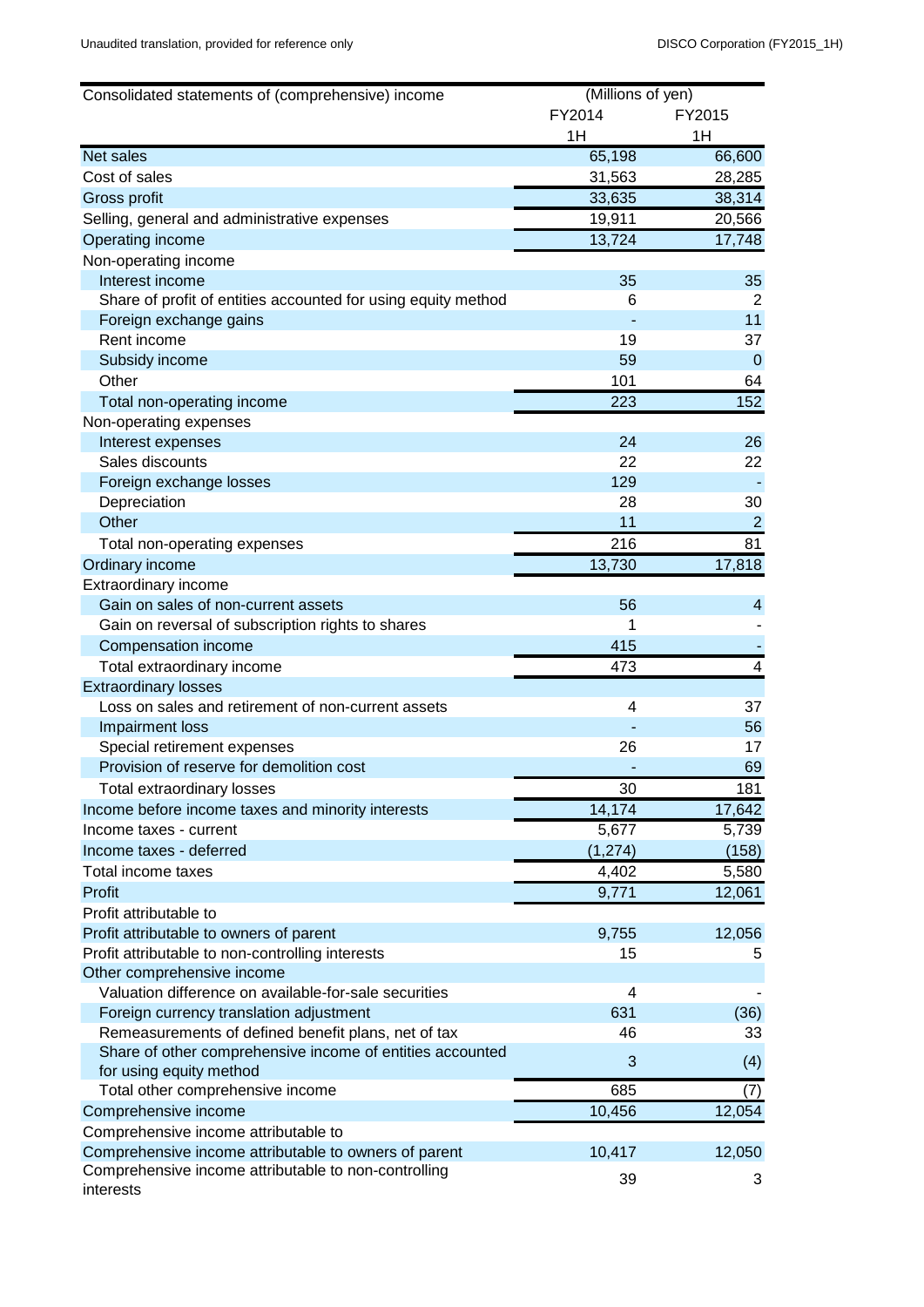| Consolidated statements of (comprehensive) income             | (Millions of yen) |                |
|---------------------------------------------------------------|-------------------|----------------|
|                                                               | FY2014            | FY2015         |
|                                                               | 1H                | 1H             |
| <b>Net sales</b>                                              | 65,198            | 66,600         |
| Cost of sales                                                 | 31,563            | 28,285         |
| Gross profit                                                  | 33,635            | 38,314         |
| Selling, general and administrative expenses                  | 19,911            | 20,566         |
| Operating income                                              | 13,724            | 17,748         |
| Non-operating income                                          |                   |                |
| Interest income                                               | 35                | 35             |
| Share of profit of entities accounted for using equity method | 6                 | 2              |
| Foreign exchange gains                                        |                   | 11             |
| Rent income                                                   | 19                | 37             |
| Subsidy income                                                | 59                | $\mathbf 0$    |
| Other                                                         | 101               | 64             |
| Total non-operating income                                    | 223               | 152            |
| Non-operating expenses                                        |                   |                |
| Interest expenses                                             | 24                | 26             |
| Sales discounts                                               | 22                | 22             |
| Foreign exchange losses                                       | 129               |                |
| Depreciation                                                  | 28                | 30             |
| Other                                                         | 11                | $\overline{2}$ |
| Total non-operating expenses                                  | 216               | 81             |
| Ordinary income                                               | 13,730            | 17,818         |
| Extraordinary income                                          |                   |                |
| Gain on sales of non-current assets                           | 56                | 4              |
| Gain on reversal of subscription rights to shares             | 1                 |                |
| Compensation income                                           | 415               |                |
| Total extraordinary income                                    | 473               | 4              |
| <b>Extraordinary losses</b>                                   |                   |                |
| Loss on sales and retirement of non-current assets            | 4                 | 37             |
| Impairment loss                                               |                   | 56             |
| Special retirement expenses                                   | 26                | 17             |
| Provision of reserve for demolition cost                      |                   | 69             |
| Total extraordinary losses                                    | 30                | 181            |
| Income before income taxes and minority interests             | 14,174            | 17,642         |
| Income taxes - current                                        | 5,677             | 5,739          |
| Income taxes - deferred                                       | (1, 274)          | (158)          |
| Total income taxes                                            | 4,402             | 5,580          |
| Profit                                                        | 9,771             | 12,061         |
| Profit attributable to                                        |                   |                |
| Profit attributable to owners of parent                       | 9,755             | 12,056         |
| Profit attributable to non-controlling interests              | 15                | 5              |
| Other comprehensive income                                    |                   |                |
| Valuation difference on available-for-sale securities         | 4                 |                |
| Foreign currency translation adjustment                       | 631               | (36)           |
| Remeasurements of defined benefit plans, net of tax           | 46                | 33             |
| Share of other comprehensive income of entities accounted     | 3                 |                |
| for using equity method                                       |                   | (4)            |
| Total other comprehensive income                              | 685               | (7)            |
| Comprehensive income                                          | 10,456            | 12,054         |
| Comprehensive income attributable to                          |                   |                |
| Comprehensive income attributable to owners of parent         | 10,417            | 12,050         |
| Comprehensive income attributable to non-controlling          | 39                | 3              |
| interests                                                     |                   |                |